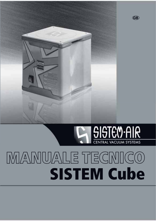# SISTEM-AIR

SISTE

**GB** 

## MANUALE TECNICO **SISTEM Cube**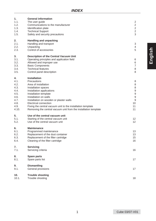| 1.    | <b>General information</b>                                      |                |
|-------|-----------------------------------------------------------------|----------------|
| 1.1.  | The user guide                                                  | $\overline{c}$ |
| 1.2.  | Communications to the manufacturer                              | $\overline{2}$ |
| 1.3.  | Identification plate                                            | 2              |
| 1.4.  | <b>Technical Support</b>                                        | 2              |
| 1.5.  | Safety and security precautions                                 | 3              |
| 2.    | Handling and unpacking                                          |                |
| 2.1.  | Handling and transport                                          | 3              |
| 2.2.  | Unpacking                                                       | 4              |
| 2.3.  | Control of accessories                                          | 5              |
| 3.    | Description of the Central Vacuum Unit                          |                |
| 3.1.  | Operating principles and application field                      | 6              |
| 3.2.  | Allowed and improper use                                        | 6              |
| 3.3.  | <b>Basic Components</b>                                         | 7              |
| 3.4.  | <b>Technical features</b>                                       | 8              |
| 3.5.  | Control panel description                                       | 8              |
| 4.    | <b>Installation</b>                                             |                |
| 4.1.  | Precautions                                                     | 8              |
| 4.2.  | Area of installation                                            | 8              |
| 4.3.  | Installation spaces                                             | 8              |
| 4.4.  | Installation applications                                       | 9              |
| 4.5.  | Installation template                                           | 9              |
| 4.6.  | Installation on walls                                           | 9              |
| 4.7.  | Installation on wooden or plaster walls                         | 9              |
| 4.8.  | Electrical connection                                           | 10             |
| 4.9.  | Fixing the central vacuum unit to the installation template     | 11             |
| 4.10. | Removing the central vacuum unit from the installation template | 11             |
| 5.    | Use of the central vacuum unit                                  |                |
| 5.1.  | Starting of the central vacuum unit                             | 12             |
| 5.2.  | Use of the central vacuum unit                                  | 12             |
| 6.    | <b>Maintenance</b>                                              |                |
| 6.1.  | Programmed maintenance                                          | 13             |
| 6.2.  | Replacement of the dust container                               | 13             |
| 6.3.  | Replacement of the filter cartridge                             | 15             |
| 6.4.  | Cleaning of the filter cartridge                                | 16             |
| 7.    | Servicing                                                       |                |
| 7.1.  | Servicing criteria                                              | 16             |
| 8.    | Spare parts                                                     |                |
| 8.1.  | Spare parts list                                                | 17             |
| 9.    | Dismantling                                                     |                |
| 9.1.  | General provisions                                              | 17             |
| 10.   | <b>Trouble shooting</b>                                         |                |
| 10.1. | Trouble shooting                                                | 18             |
|       |                                                                 |                |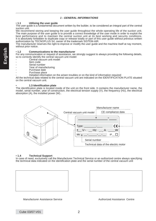#### **1 - GENERAL INFORMATIONS**

#### • **1.1 Utilising the user guide**

The user guide is a fundamental document written by the builder, to be considered an integral part of the central suction unit.

We recommend storing and keeping the user guide throughout the whole operating life of the suction unit. The main purpose of the user guide is to provide a correct knowledge of the user mode in order to exploit the best performance and to maintain the central suction unit at its best working and security conditions. It is absolutely forbidden to duplicate copy or release totally or part of this user guide without previous written authorization by TECNOPLUS Srl, owner of the trademark SISTEM-AIR.

The manufacturer reserves the right to improve or modify the user guide and the machine itself at nay moment, without prior notice.

#### • **1.2 Communications to the manufacturer**

For any communication or request of assistance, we strongly suggest to always providing the following details, so to correctly identify the central vacuum unit model:

- Central vacuum unit model
- Item code
- Serial number
- Year of manufacturing
- Purchase date
	- Purchase place

Detailed information on the arisen troubles or on the kind of information required All the technical data related to the central vacuum unit are indicated on the IDENTIFICATION PLATE situated on the central vacuum unit.

#### • **1.3 Identification plate**

The identification plate is located inside of the unit on the front side. It contains the manufacturer name, the model, serial number, year of construction, the electrical tension supply (V), the frequency (Hz), the electrical absorption (A), the installed power (W)..



#### • **1.4 Technical Support**

In case of need, exclusively call the Manufacturer Technical Service or an authorized centre always specifying the technical data indicated on the identification plate and the serial number of the central vacuum unit





Manufacturer Assistance Service Authorized Assistance Centre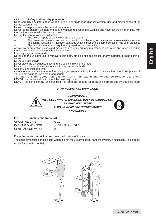#### • **1.5 Safety and security precautions**

Read carefully any information written in this user guide regarding installation, use and maintenance of the central vacuum unit.

Never use inappropriately the central vacuum unit.

Never let the children get near the central vacuum unit when it is working and never let the children play with the suction inlets or with the vacuum unit.

Unplug the central vacuum unit when:

- The power supply cable is worn out or damaged
- The central vacuum unit has been exposed to the inclemency of the weather or to excessive moisture.
- The central vacuum unit has been damaged by an impact or the external container has been damaged
- The central vacuum unit requires any repairing or overhauling.

Always wear protection gloves and mask when carrying out any maintenance operation and when unloading the dust container or replacing/cleaning the filter.

Use only original spare parts.

Never use the vacuum unit to remove textile stuff, big-size bits and pieces of any material, burning coals or ashes.

Never vacuum liquids.

Never block the air exhaust pipes and the cooling inlets of the motor.

Never touch the suction accessories with any part of the body.

Use only one inlet at a time.

Do not let the central vacuum unit running if you are not utilising it and put the switch on the "OFF" position if you are not going to use it for a long period.

 et mettre l'interrupteur en position "OFF" en cas d'une longue pé'8eriode d'arrê'90t. NEVER use the central unit without the dust bag cover.

NEVER take the central unit out from its template except for repairing carried out by qualified staff.

#### **2 - HANDLING AND UNPACKING**



**THE FOLLOWING OPERATIONS MUST BE CARRIED OUT BY QUALIFIED STAFF ALWAYS WEAR PROTECTIVE SHOES AND GLOVES**



#### **2.1 Handling and transport**

| <b>GROSS WEIGHT:</b>        | kg 10                 |
|-----------------------------|-----------------------|
| <b>PACKING DIMENSION:</b>   | cm 80 x 38.5 x H 31.5 |
| <b>CENTRAL UNIT WEIGHT:</b> | kg 4                  |

Place the central unit still packed near the location of installation.

The small dimensions and the light weight do not require any special handling system. If necessary, use a trolley or ask for somebody's help.

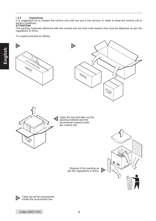• **2.2 Unpacking** It is suggested not to unpack the central unit until you put it into service, in order to keep the central unit in perfect conditions.

#### **ATTENTION:**

The packing materials delivered with the central unit are inert solid wastes that must be disposed as per the regulations in force.

To unpack proceed as follows







Open the top and take out the packing material and the accessories placed inside the central unit.

Dispose of the packing as per the regulations in force. **4**

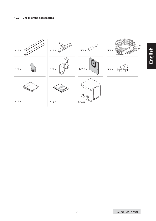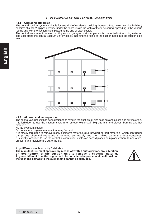#### **3 - DESCRIPTION OF THE CENTRAL VACUUM UNIT**

#### • **3.1 Operating principles**

The central suction system, suitable for any kind of residential building (house, office, hotels, service building) consists of a of PVC pipes network, under the floors, inside the walls or the false ceiling, spreading in the various rooms and with the suction inlets placed at the end of each sector.

The central vacuum unit, located in utility rooms, garages or similar places, is connected to the piping network. The user starts the central vacuum unit by simply inserting the fitting of the suction hose into the suction pipe inlet.



#### • **3.2 Allowed and improper use.**

The central vacuum unit has been designed to remove the dust, small-size solid bits and pieces and dry materials. It is forbidden to use the vacuum system to remove textile stuff, big-size bits and pieces, burning and hot materials.

#### NEVER vacuum liquids!

Do not vacuum organic material that may ferment.

It is strictly forbidden to remove highly explosive materials (gun powder) or inert materials, which can trigger dangerous chemical reactions if removed separately and then mixed up in the dust container. It is strictly forbidden to use the central suction unit in explosion hazard places or in places where temperature, pressure and moisture are out-of-range.

#### **Any different use is strictly forbidden.**

**The manufacturer must approve, by means of written authorization, any alteration or modification of the suction unit to remove a specific material. Any use different from the original is to be considered improper and health risk for the user and damage to the suction unit cannot be excluded.**

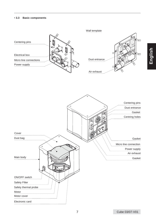#### • **3.3 Basic components**

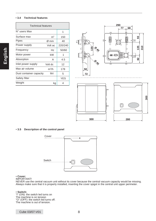#### • **3.4 Technical features**

| <b>Technical features</b> |                |            |
|---------------------------|----------------|------------|
| N° users Max              |                | 1          |
| Surface max               | m <sup>2</sup> | 150        |
| Pipes                     | Ø mm           | 40         |
| Power supply              | Volt ac        | 220/240    |
| Frequency                 | Hz             | 50/60      |
| Motor power               | kW             | 1          |
| Absorption                | А              | 4.5        |
| Inlet power supply        | Volt dc        | 12         |
| Max air volume            | $m^3/h$        | 178        |
| Dust container capacity   | litri          | 5          |
| Safety filter             |                | <b>YES</b> |
| Weight                    | kq             | 4          |



**300 280**

#### • **3.5 Description of the control panel**



#### • **Cover:**

#### IMPORTANT!

NEVER use the central vacuum unit without its cover because the central vacuum capacity would be missing. Always make sure that it is properly installed, inserting the cover spigot in the central unit upper perimeter.

• **Switch:** "I" (ON): the switch led turns on The machine is on tension "O" (OFF): the switch led turns off. The machine is out of tension.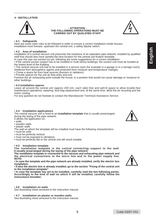#### **4 - INSTALLATION**



#### **- ATTENTION - THE FOLLOWING OPERATIONS MUST BE CARRIED OUT BY QUALIFIED STAFF**



**English**

#### • **4.1 Safeguards**

Here are some main rules to be followed in order to ensure a correct installation inside houses. Installation must foresee, upstream the central unit, a safety bipolar switch..

#### • **4.2 Area of installation**

Installation of a central vacuum unit presumes the existence of an aspiration pipe network, installed by qualified staff that should also have spotted the best location for the central unit fixation template.

In case this was not carried out yet, following are some suggestions for a correct installation.

• If the central suction system has to be installed in multi-storey buildings, the suction unit must be located at the lowest level of the building.

• The central vacuum unit has to be installed in a service room (for example in a garage or in a storage room), sheltered from atmospheric agents and protected from moisture and temperature changes.

• Chose a space far from heat sources (burners or radiators).

• Provide spaces for the unit air flow entry and exit.

Foresee the air exhausting point outside the house, in a position that would not cause damage or nuisance to other buildings.

#### • **4.3 Installation spaces**

Leave all around the central unit (approx 200 mm. each side) free and well-lit space to allow trouble-free maintenance operations, repairing, dust bag replacement and, at the same time, allow the air recycling and the motor cooling.

For any question do not hesitate to contact the Manufacturer Technical Assistance Service.

#### • **4.4 Installation applications**

The central vacuum unit is fixed to an **installation template** that is usually prearranged, during the laying of the pipe network. It allows the application on:

- walls
- wooden walls
- plaster walls

The wall on which the template will be installed must have the following characteristics:

- must be solid
- must be perfectly vertical
- must not be exposed to vibrations
- must be perfectly flat or the central unit will result instable

#### **• 4.5 Installation template**

**The installation template is the central connecting support to the wall. It usually prearranged during the laying of the pipe network.**

**The installation template is connected to the vacuum and exhausting pipe network and the electrical connections to the micro line and to the power supply line. NOTE:**

**• In case the template and the pipe network are already installed, verify the electric box installation.**

**• If also the electric box is already installed, go to the section "Fixing of the central unit to the installation template"**

**• In case the template has yet to be installed, carefully read the two following points. Accordingly to the kind of wall on which it will be installed, carefully follow the instructions hereafter.**

#### • **4.6 Installation on walls**

See illustrating sheet annexed to the instruction manual.

#### • **4.7 Installation on plaster or wooden walls**

See illustrating sheet annexed to the instruction manual.



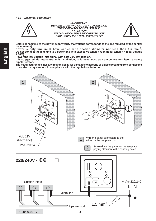**• 4.8 Electrical connection**



#### **- IMPORTANT - BEFORE CARRYING OUT ANY CONNECTION TURN OFF MAIN POWER SUPPLY.. - ATTENTION - INSTALLATION MUST BE CARRIED OUT EXCLUSIVELY BY QUALIFIED STAFF!**



**Before connecting to the power supply verify that voltage corresponds to the one required by the central vacuum unit).**

**Power supply line must have cables with section diameter not less than 1.5 mm.2. Do not connect the machine to a power line with excessive tension rush (ideal tension = local voltage ± 10%).**

**Power the low voltage inlet signal with safe very low tension.**

**It is suggested, during central unit installation, to foresee, upstream the central unit itself, a safety bipolar switch.**

**The manufacturer declines any responsibility for damages to persons or objects resulting from connecting to an electric system not in compliance with the regulations in force.**

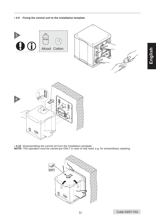





• 4.10 Disassembling the central nit from the installation template<br>NOTE: This operation must be carried put ONLY in case of real need, e.g. for extraordinary repairing.

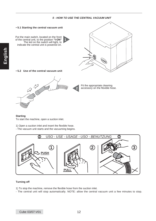#### **5 - HOW TO USE THE CENTRAL VACUUM UNIT**



#### **Starting**

To start the machine, open a suction inlet.

1) Open a suction inlet and insert the flexible hose.

- The vacuum unit starts and the vacuuming begins.



#### **Turning off**

1) To stop the machine, remove the flexible hose from the suction inlet.

- The central unit will stop automatically. NOTE: allow the central vacuum unit a few minutes to stop.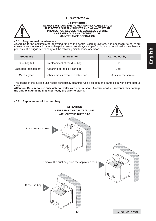#### **6 - MAINTENANCE**



#### **- ATTENTION - ALWAYS UNPLUG THE POWER SUPPLY CABLE FROM THE POWER SUPPLY SOCKET AND ALWAYS WEAR PROTECTION GLOVES AND GOGGLES BEFORE CARRYING OUT ANY TECHNICAL OR MAINTENANCE OPERATION**



#### • **6.1 Programmed maintenance**

According to the accumulated operating time of the central vacuum system, it is necessary to carry out maintenance operations in order to keep the central unit always well performing and to avoid serious mechanical problems. It is suggested to carry out the following maintenance operations:

| Frequency            | <b>Intervention</b>               | Carried out by      |
|----------------------|-----------------------------------|---------------------|
| Dust bag full        | Replacement of the dust bag       | User                |
| Each bag replacement | Cleaning of the filetr cartidge   | User                |
| Once a year          | Check the air exhaust obstruction | Assistanzce service |

The casing of the suction unit needs periodically cleaning. Use a smooth and damp cloth with some neutral soap.

**Attention: Be sure to use only water or water with neutral soap. Alcohol or other solvents may damage the unit. Wait until the unit is perfectly dry prior to start it.**

#### • **6.2 Replacement of the dust bag**

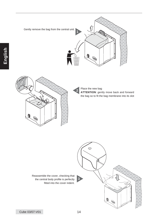





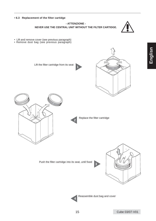• **6.3 Replacement of the filter cartidge - ATTENZIONE -**



**NEVER USE THE CENTRAL UNIT WITHOUT THE FILTER CARTIDGE.**

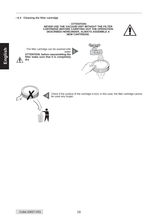#### • **6.4 Cleaning the filter cartridge**

#### **- ATTENTION-NEVER USE THE VACUUM UNIT WITHOUT THE FILTER CARTRIDGE BEFORE CARRYING OUT THE OPERATION DESCRIBED HEREUNDER, ALWAYS ASSEMBLE A NEW CARTRIDGE.**

**1**



The filter cartridge can be washed with water **ATTENTION: before reassembling the filter make sure that it is completely dry**





Check if the surface of the cartridge is torn; in this case, the filter cartridge cannot be used any longer.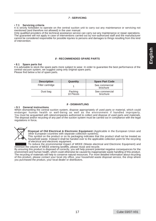#### **7 - SERVICING**

• **7.1 Servicing criteria** It is strictly forbidden to operate on the central suction unit to carry out any maintenance or servicing not mentioned (and therefore not allowed) in the user manual.

Only qualified providers of the technical assistance service can carry out any maintenance or repair operations. The guarantee will not apply in case of interventions carried out by non-authorized staff and the manufacturer cannot be considered responsible for possible injuries to persons and damages to things resulting from this kind of intervention.

#### **8 - RECOMMENDED SPARE PARTS**

#### • **8.1 Spare parts list**

It is advisable to stock the spare parts more subject to wear. In order to guarantee the best performance of the central vacuum system, we suggest using only original spare parts. Please find below a list of spare parts.

| <b>Description</b> | Quantity             | <b>Spare Part Code</b>     |
|--------------------|----------------------|----------------------------|
| Filter cartridge   |                      | See commercial<br>brochure |
| Dust bag           | Packing<br>10 Pieces | See commercial<br>brochure |

#### **9 - DISMANTLING**

#### • **9.1 General instructions**

When dismantling the central suction system, dispose appropriately of used parts or material, which could endanger human health or well-being as well as the environment if handled improperly. You must be acquainted with sites/companies authorized to collect and dispose of used parts and materials. The disposal and/or recycling of any part of the suction system must be carried out in compliance with the legal regulations in force**.**



**Disposal of Old Electrical & Electronic Equipment** (Applicable in the European Union and other European countries with separate collection systems).

 This symbol on the product or on its packaging indicates that this product shall not be treated as household waste. Instead it shall be handed over to the applicable collection point for the recycling of electrical and electronic equipment.

 To reduce the environmental impact of WEEE (Waste electrical and Electronic Equipment) and minimize the volume of WEEE entering landfills, please reuse and recycle.

By ensuring this product is disposed of correctly, you will help prevent potential negative consequences for the environment and human health, which could otherwise be caused by inappropriate waste handling of this product. The recycling of materials will help to conserve natural resources. For more detailed information about recycling of this product, please contact your local city office, your household waste disposal service, the shop where you purchased the product, your local dealer or distributors.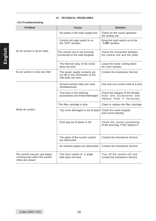#### **10 - TECHNICAL PROBLEMES**

#### • **10.1Troubleshooting**

| Problem                                                                             | Cause                                                                                    | <b>Solution</b>                                                                              |
|-------------------------------------------------------------------------------------|------------------------------------------------------------------------------------------|----------------------------------------------------------------------------------------------|
|                                                                                     | No power in the main supply line                                                         | Check for the cause upstream<br>the central unit                                             |
|                                                                                     | Central unit main switch is on<br>the "OFF" position                                     | Bring the main switch on to the<br>"I-ON" position                                           |
| No air suction in all air inlets                                                    | The central unit is not correctly<br>connected to the wall template                      | Check the connection between<br>the central unit and the plate                               |
|                                                                                     | The thermal relay of the motor<br>does not work                                          | Leave the motor cooling down<br>for a few minutes                                            |
| No air suction in only one inlet                                                    | The power supply contacts are<br>cut off or the microswitc of the<br>inlet does not work | Contact the Assistance Service                                                               |
|                                                                                     | Several suction inlets are used<br>simultaneously                                        | Use only one suction inlet at a time                                                         |
|                                                                                     | The hose or the cleaning<br>accessories are broken/damaged                               | Check the integrity of the flexible<br>hose and accessories and<br>replace them if necessary |
|                                                                                     | The filter cartridge is dirty                                                            | Clean or replace the filter cartridge                                                        |
| Weak air suction                                                                    | Top cover damaged or out of place                                                        | Check the cover integrity<br>and correct placing                                             |
|                                                                                     | Dust bag out of place or full                                                            | Check the correct positioning<br>of the dust bag. If full, replace it                        |
|                                                                                     | The pipes of the suction system<br>are obstructed                                        | Contact the Assistance Service                                                               |
|                                                                                     | Air exhaust piepes are obstructed                                                        | Contact the Assistance Service                                                               |
| The central vacuum unit keeps<br>running even when the suction<br>inlets are closed | The micro switch of a single<br>inlet does not work                                      | Turn off the central unit and<br>contact the Assistance Service                              |